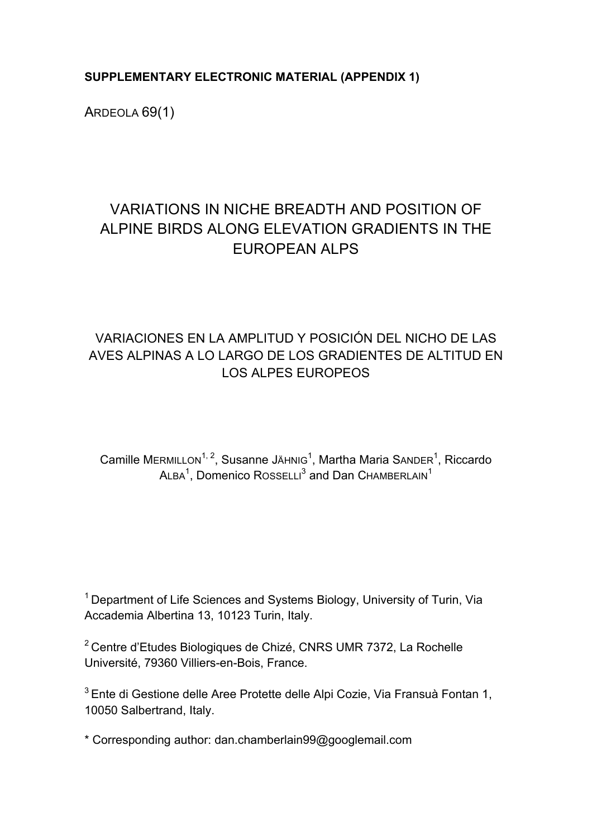**SUPPLEMENTARY ELECTRONIC MATERIAL (APPENDIX 1)**

ARDEOLA 69(1)

# VARIATIONS IN NICHE BREADTH AND POSITION OF ALPINE BIRDS ALONG ELEVATION GRADIENTS IN THE EUROPEAN ALPS

### VARIACIONES EN LA AMPLITUD Y POSICIÓN DEL NICHO DE LAS AVES ALPINAS A LO LARGO DE LOS GRADIENTES DE ALTITUD EN LOS ALPES EUROPEOS

Camille MERMILLON<sup>1, 2</sup>, Susanne JAHNIG<sup>1</sup>, Martha Maria SANDER<sup>1</sup>, Riccardo  $A$ LBA<sup>1</sup>, Domenico Rosselli<sup>3</sup> and Dan Chamberlain<sup>1</sup>

 $1$  Department of Life Sciences and Systems Biology, University of Turin, Via Accademia Albertina 13, 10123 Turin, Italy.

<sup>2</sup> Centre d'Etudes Biologiques de Chizé, CNRS UMR 7372, La Rochelle Université, 79360 Villiers-en-Bois, France.

 $3$  Ente di Gestione delle Aree Protette delle Alpi Cozie, Via Fransuà Fontan 1, 10050 Salbertrand, Italy.

\* Corresponding author: dan.chamberlain99@googlemail.com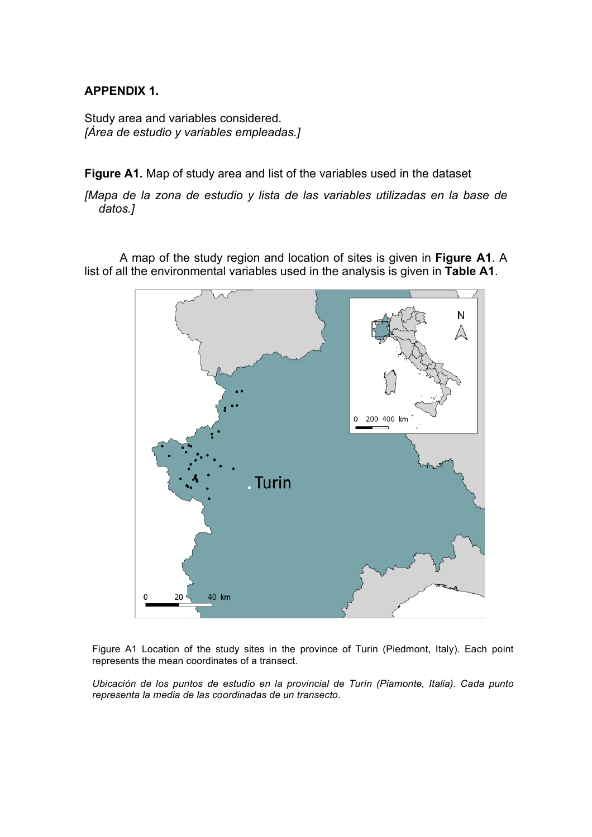#### **APPENDIX 1.**

Study area and variables considered. *[Área de estudio y variables empleadas.]*

**Figure A1.** Map of study area and list of the variables used in the dataset

*[Mapa de la zona de estudio y lista de las variables utilizadas en la base de datos.]*

A map of the study region and location of sites is given in **Figure A1**. A list of all the environmental variables used in the analysis is given in **Table A1**.



Figure A1 Location of the study sites in the province of Turin (Piedmont, Italy). Each point represents the mean coordinates of a transect.

*Ubicación de los puntos de estudio en la provincial de Turín (Piamonte, Italia). Cada punto representa la media de las coordinadas de un transecto.*